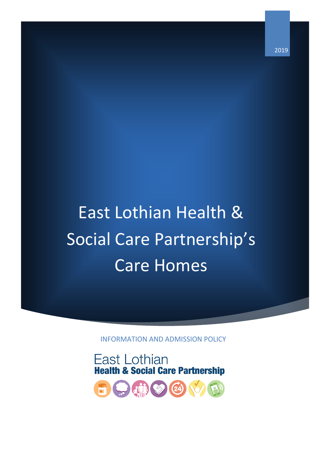2019

# East Lothian Health & Social Care Partnership's Care Homes

INFORMATION AND ADMISSION POLICY



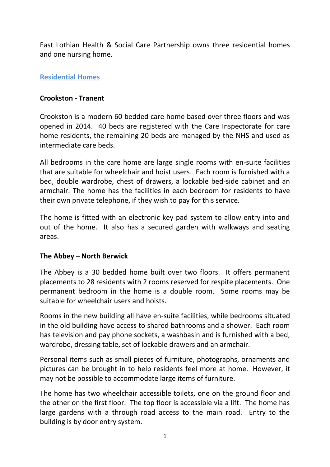East Lothian Health & Social Care Partnership owns three residential homes and one nursing home.

#### **Residential Homes**

#### **Crookston - Tranent**

Crookston is a modern 60 bedded care home based over three floors and was opened in 2014. 40 beds are registered with the Care Inspectorate for care home residents, the remaining 20 beds are managed by the NHS and used as intermediate care beds.

All bedrooms in the care home are large single rooms with en-suite facilities that are suitable for wheelchair and hoist users. Each room is furnished with a bed, double wardrobe, chest of drawers, a lockable bed-side cabinet and an armchair. The home has the facilities in each bedroom for residents to have their own private telephone, if they wish to pay for this service.

The home is fitted with an electronic key pad system to allow entry into and out of the home. It also has a secured garden with walkways and seating areas.

#### **The Abbey – North Berwick**

The Abbey is a 30 bedded home built over two floors. It offers permanent placements to 28 residents with 2 rooms reserved for respite placements. One permanent bedroom in the home is a double room. Some rooms may be suitable for wheelchair users and hoists.

Rooms in the new building all have en-suite facilities, while bedrooms situated in the old building have access to shared bathrooms and a shower. Each room has television and pay phone sockets, a washbasin and is furnished with a bed, wardrobe, dressing table, set of lockable drawers and an armchair.

Personal items such as small pieces of furniture, photographs, ornaments and pictures can be brought in to help residents feel more at home. However, it may not be possible to accommodate large items of furniture.

The home has two wheelchair accessible toilets, one on the ground floor and the other on the first floor. The top floor is accessible via a lift. The home has large gardens with a through road access to the main road. Entry to the building is by door entry system.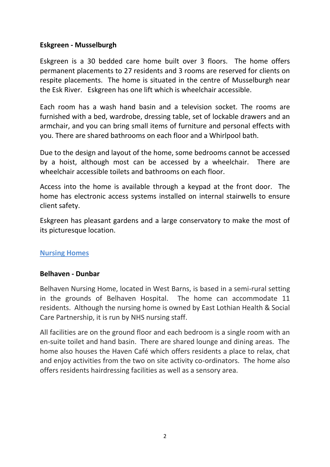### **Eskgreen - Musselburgh**

Eskgreen is a 30 bedded care home built over 3 floors. The home offers permanent placements to 27 residents and 3 rooms are reserved for clients on respite placements. The home is situated in the centre of Musselburgh near the Esk River. Eskgreen has one lift which is wheelchair accessible.

Each room has a wash hand basin and a television socket. The rooms are furnished with a bed, wardrobe, dressing table, set of lockable drawers and an armchair, and you can bring small items of furniture and personal effects with you. There are shared bathrooms on each floor and a Whirlpool bath.

Due to the design and layout of the home, some bedrooms cannot be accessed by a hoist, although most can be accessed by a wheelchair. There are wheelchair accessible toilets and bathrooms on each floor.

Access into the home is available through a keypad at the front door. The home has electronic access systems installed on internal stairwells to ensure client safety.

Eskgreen has pleasant gardens and a large conservatory to make the most of its picturesque location.

### **Nursing Homes**

### **Belhaven - Dunbar**

Belhaven Nursing Home, located in West Barns, is based in a semi-rural setting in the grounds of Belhaven Hospital. The home can accommodate 11 residents. Although the nursing home is owned by East Lothian Health & Social Care Partnership, it is run by NHS nursing staff.

All facilities are on the ground floor and each bedroom is a single room with an en-suite toilet and hand basin. There are shared lounge and dining areas. The home also houses the Haven Café which offers residents a place to relax, chat and enjoy activities from the two on site activity co-ordinators. The home also offers residents hairdressing facilities as well as a sensory area.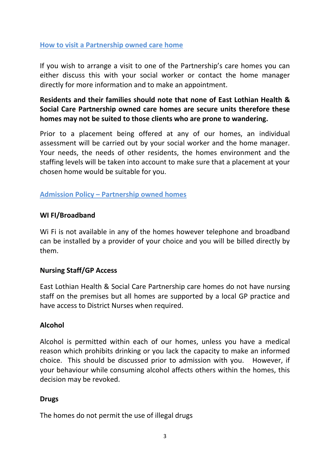## **How to visit a Partnership owned care home**

If you wish to arrange a visit to one of the Partnership's care homes you can either discuss this with your social worker or contact the home manager directly for more information and to make an appointment.

# **Residents and their families should note that none of East Lothian Health & Social Care Partnership owned care homes are secure units therefore these homes may not be suited to those clients who are prone to wandering.**

Prior to a placement being offered at any of our homes, an individual assessment will be carried out by your social worker and the home manager. Your needs, the needs of other residents, the homes environment and the staffing levels will be taken into account to make sure that a placement at your chosen home would be suitable for you.

## **Admission Policy – Partnership owned homes**

### **WI FI/Broadband**

Wi Fi is not available in any of the homes however telephone and broadband can be installed by a provider of your choice and you will be billed directly by them.

### **Nursing Staff/GP Access**

East Lothian Health & Social Care Partnership care homes do not have nursing staff on the premises but all homes are supported by a local GP practice and have access to District Nurses when required.

### **Alcohol**

Alcohol is permitted within each of our homes, unless you have a medical reason which prohibits drinking or you lack the capacity to make an informed choice. This should be discussed prior to admission with you. However, if your behaviour while consuming alcohol affects others within the homes, this decision may be revoked.

### **Drugs**

The homes do not permit the use of illegal drugs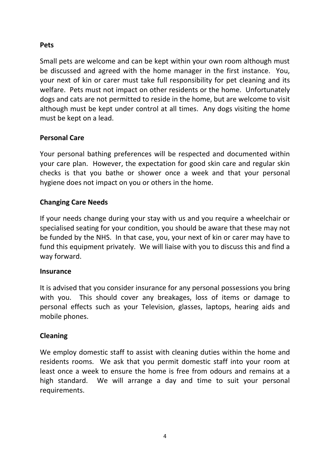## **Pets**

Small pets are welcome and can be kept within your own room although must be discussed and agreed with the home manager in the first instance. You, your next of kin or carer must take full responsibility for pet cleaning and its welfare. Pets must not impact on other residents or the home. Unfortunately dogs and cats are not permitted to reside in the home, but are welcome to visit although must be kept under control at all times. Any dogs visiting the home must be kept on a lead.

# **Personal Care**

Your personal bathing preferences will be respected and documented within your care plan. However, the expectation for good skin care and regular skin checks is that you bathe or shower once a week and that your personal hygiene does not impact on you or others in the home.

# **Changing Care Needs**

If your needs change during your stay with us and you require a wheelchair or specialised seating for your condition, you should be aware that these may not be funded by the NHS. In that case, you, your next of kin or carer may have to fund this equipment privately. We will liaise with you to discuss this and find a way forward.

### **Insurance**

It is advised that you consider insurance for any personal possessions you bring with you. This should cover any breakages, loss of items or damage to personal effects such as your Television, glasses, laptops, hearing aids and mobile phones.

### **Cleaning**

We employ domestic staff to assist with cleaning duties within the home and residents rooms. We ask that you permit domestic staff into your room at least once a week to ensure the home is free from odours and remains at a high standard. We will arrange a day and time to suit your personal requirements.